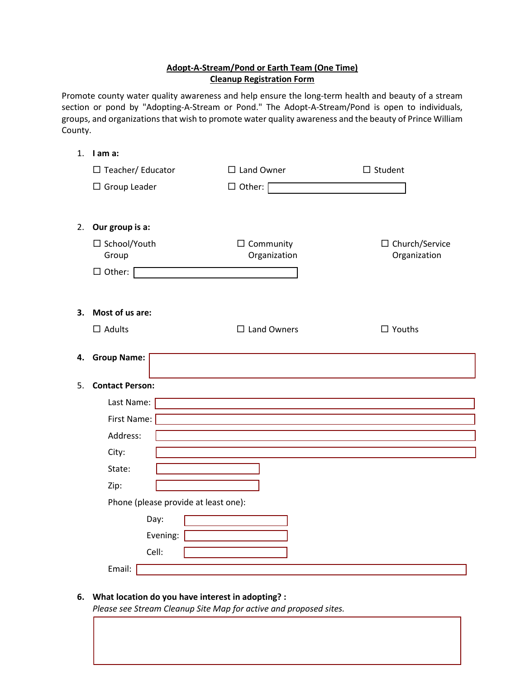# **Adopt-A-Stream/Pond or Earth Team (One Time) Cleanup Registration Form**

Promote county water quality awareness and help ensure the long-term health and beauty of a stream section or pond by "Adopting-A-Stream or Pond." The Adopt-A-Stream/Pond is open to individuals, groups, and organizations that wish to promote water quality awareness and the beauty of Prince William County.

# 1. **I am a:**

|    | $\Box$ Teacher/ Educator             | $\square$ Land Owner  | $\square$ Student |  |  |
|----|--------------------------------------|-----------------------|-------------------|--|--|
|    | $\Box$ Group Leader                  | $\Box$ Other: $\Box$  |                   |  |  |
|    |                                      |                       |                   |  |  |
| 2. | Our group is a:                      |                       |                   |  |  |
|    | □ School/Youth                       | $\Box$ Community      | □ Church/Service  |  |  |
|    | Group                                | Organization          | Organization      |  |  |
|    | $\Box$ Other:                        |                       |                   |  |  |
|    |                                      |                       |                   |  |  |
| 3. | Most of us are:                      |                       |                   |  |  |
|    | $\square$ Adults                     | $\square$ Land Owners | $\Box$ Youths     |  |  |
|    |                                      |                       |                   |  |  |
| 4. | <b>Group Name:</b>                   |                       |                   |  |  |
|    |                                      |                       |                   |  |  |
| 5. | <b>Contact Person:</b>               |                       |                   |  |  |
|    | Last Name:                           |                       |                   |  |  |
|    | First Name:                          |                       |                   |  |  |
|    | Address:                             |                       |                   |  |  |
|    | City:                                |                       |                   |  |  |
|    | State:                               |                       |                   |  |  |
|    | Zip:                                 |                       |                   |  |  |
|    | Phone (please provide at least one): |                       |                   |  |  |
|    | Day:                                 |                       |                   |  |  |
|    | Evening:                             |                       |                   |  |  |
|    | Cell:                                |                       |                   |  |  |
|    | Email:                               |                       |                   |  |  |

### **6. What location do you have interest in adopting? :**

*Please see Stream Cleanup Site Map for active and proposed sites.*